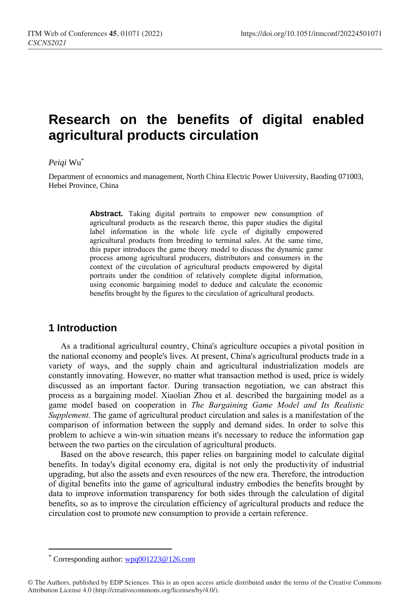# **Research on the benefits of digital enabled agricultural products circulation**

#### *Peiqi* Wu\*

Department of economics and management, North China Electric Power University, Baoding 071003, Hebei Province, China

> **Abstract.** Taking digital portraits to empower new consumption of agricultural products as the research theme, this paper studies the digital label information in the whole life cycle of digitally empowered agricultural products from breeding to terminal sales. At the same time, this paper introduces the game theory model to discuss the dynamic game process among agricultural producers, distributors and consumers in the context of the circulation of agricultural products empowered by digital portraits under the condition of relatively complete digital information, using economic bargaining model to deduce and calculate the economic benefits brought by the figures to the circulation of agricultural products.

## **1 Introduction**

As a traditional agricultural country, China's agriculture occupies a pivotal position in the national economy and people's lives. At present, China's agricultural products trade in a variety of ways, and the supply chain and agricultural industrialization models are constantly innovating. However, no matter what transaction method is used, price is widely discussed as an important factor. During transaction negotiation, we can abstract this process as a bargaining model. Xiaolian Zhou et al. described the bargaining model as a game model based on cooperation in *The Bargaining Game Model and Its Realistic Supplement*. The game of agricultural product circulation and sales is a manifestation of the comparison of information between the supply and demand sides. In order to solve this problem to achieve a win-win situation means it's necessary to reduce the information gap between the two parties on the circulation of agricultural products.

Based on the above research, this paper relies on bargaining model to calculate digital benefits. In today's digital economy era, digital is not only the productivity of industrial upgrading, but also the assets and even resources of the new era. Therefore, the introduction of digital benefits into the game of agricultural industry embodies the benefits brought by data to improve information transparency for both sides through the calculation of digital benefits, so as to improve the circulation efficiency of agricultural products and reduce the circulation cost to promote new consumption to provide a certain reference.

 $\overline{a}$ 

Corresponding author:  $wpq001223@126.com$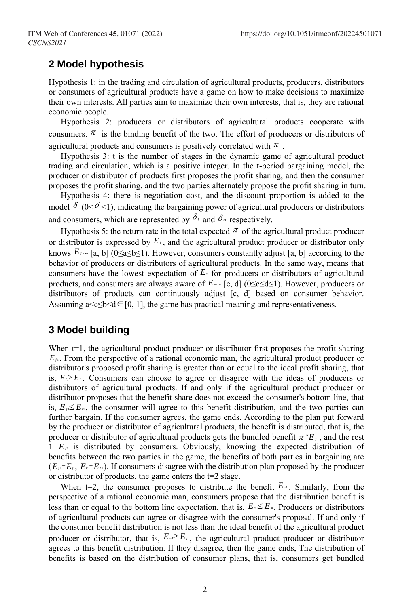### **2 Model hypothesis**

Hypothesis 1: in the trading and circulation of agricultural products, producers, distributors or consumers of agricultural products have a game on how to make decisions to maximize their own interests. All parties aim to maximize their own interests, that is, they are rational economic people.

Hypothesis 2: producers or distributors of agricultural products cooperate with consumers.  $\pi$  is the binding benefit of the two. The effort of producers or distributors of agricultural products and consumers is positively correlated with  $\pi$ .

Hypothesis 3: t is the number of stages in the dynamic game of agricultural product trading and circulation, which is a positive integer. In the t-period bargaining model, the producer or distributor of products first proposes the profit sharing, and then the consumer proposes the profit sharing, and the two parties alternately propose the profit sharing in turn.

Hypothesis 4: there is negotiation cost, and the discount proportion is added to the model  $\delta$  (0< $\delta$  <1), indicating the bargaining power of agricultural producers or distributors and consumers, which are represented by  $\delta_{\ell}$  and  $\delta_{\ell}$  respectively.

Hypothesis 5: the return rate in the total expected  $\pi$  of the agricultural product producer or distributor is expressed by  $E_f$ , and the agricultural product producer or distributor only knows  $E_f$  [a, b] (0≤a≤b≤1). However, consumers constantly adjust [a, b] according to the behavior of producers or distributors of agricultural products. In the same way, means that consumers have the lowest expectation of  $E<sub>m</sub>$  for producers or distributors of agricultural products, and consumers are always aware of *E<sup>m</sup>* ~ [c, d] (0≤c≤d≤1). However, producers or distributors of products can continuously adjust [c, d] based on consumer behavior. Assuming a  $\leq c \leq b \leq d \in [0, 1]$ , the game has practical meaning and representativeness.

# **3 Model building**

When  $t=1$ , the agricultural product producer or distributor first proposes the profit sharing  $E_f$ . From the perspective of a rational economic man, the agricultural product producer or distributor's proposed profit sharing is greater than or equal to the ideal profit sharing, that is,  $E \geq E_f$ . Consumers can choose to agree or disagree with the ideas of producers or distributors of agricultural products. If and only if the agricultural product producer or distributor proposes that the benefit share does not exceed the consumer's bottom line, that is,  $E \le E_m$ , the consumer will agree to this benefit distribution, and the two parties can further bargain. If the consumer agrees, the game ends. According to the plan put forward by the producer or distributor of agricultural products, the benefit is distributed, that is, the producer or distributor of agricultural products gets the bundled benefit  $\pi^*E_{\beta}$ , and the rest  $1-E_f$  is distributed by consumers. Obviously, knowing the expected distribution of benefits between the two parties in the game, the benefits of both parties in bargaining are  $(E_{\mu} - E_{\mu}, E_{\mu} - E_{\mu})$ . If consumers disagree with the distribution plan proposed by the producer or distributor of products, the game enters the t=2 stage.

When  $t=2$ , the consumer proposes to distribute the benefit  $E_{m}$ . Similarly, from the perspective of a rational economic man, consumers propose that the distribution benefit is less than or equal to the bottom line expectation, that is,  $E_{\text{max}} E_{\text{max}}$ . Producers or distributors of agricultural products can agree or disagree with the consumer's proposal. If and only if the consumer benefit distribution is not less than the ideal benefit of the agricultural product producer or distributor, that is,  $E_{m} \geq E_f$ , the agricultural product producer or distributor agrees to this benefit distribution. If they disagree, then the game ends, The distribution of benefits is based on the distribution of consumer plans, that is, consumers get bundled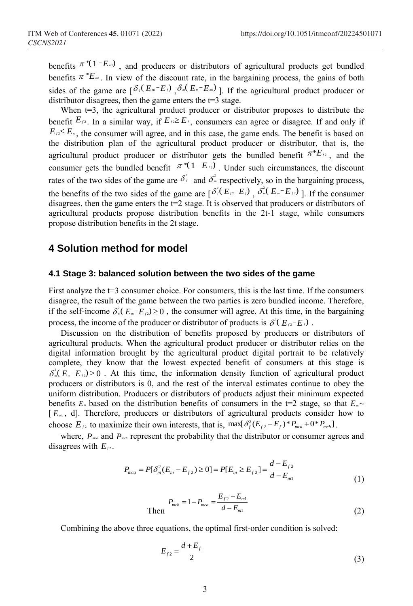benefits  $\pi^{*}(1 - E_m)$ , and producers or distributors of agricultural products get bundled benefits  $\pi^* E_{m}$ . In view of the discount rate, in the bargaining process, the gains of both sides of the game are  $\left[\delta/(E_{m} - E_{\ell})\right]$ ,  $\delta_{m}(E_{m} - E_{m})$  ]. If the agricultural product producer or distributor disagrees, then the game enters the  $t=3$  stage.

When t=3, the agricultural product producer or distributor proposes to distribute the benefit  $E_f$  1. In a similar way, if  $E_f \ge E_f$ , consumers can agree or disagree. If and only if  $E_{\ell 2} \le E_{\pi}$ , the consumer will agree, and in this case, the game ends. The benefit is based on the distribution plan of the agricultural product producer or distributor, that is, the agricultural product producer or distributor gets the bundled benefit  $\pi^*E_f$ , and the consumer gets the bundled benefit  $\pi^*(1 - E_f)$ . Under such circumstances, the discount rates of the two sides of the game are  $\delta^2$  and  $\delta^2$  respectively, so in the bargaining process, the benefits of the two sides of the game are  $\left[\delta_f^2(E_{12}-E_f), \delta_m^2(E_m-E_{12})\right]$ . If the consumer disagrees, then the game enters the  $t=2$  stage. It is observed that producers or distributors of agricultural products propose distribution benefits in the 2t-1 stage, while consumers propose distribution benefits in the 2t stage.

### **4 Solution method for model**

#### **4.1 Stage 3: balanced solution between the two sides of the game**

First analyze the  $t=3$  consumer choice. For consumers, this is the last time. If the consumers disagree, the result of the game between the two parties is zero bundled income. Therefore, if the self-income  $\delta_m^2(E_n - E_f) \ge 0$ , the consumer will agree. At this time, in the bargaining process, the income of the producer or distributor of products is  $\delta^2(E_B - E_f)$ .

Discussion on the distribution of benefits proposed by producers or distributors of agricultural products. When the agricultural product producer or distributor relies on the digital information brought by the agricultural product digital portrait to be relatively complete, they know that the lowest expected benefit of consumers at this stage is  $\delta_m^2(E_m - E_f) \ge 0$ . At this time, the information density function of agricultural product producers or distributors is 0, and the rest of the interval estimates continue to obey the uniform distribution. Producers or distributors of products adjust their minimum expected benefits  $E_*$  based on the distribution benefits of consumers in the t=2 stage, so that  $E_* \sim$ [ $E_{m}$ , d]. Therefore, producers or distributors of agricultural products consider how to choose  $E_f$  to maximize their own interests, that is, max $\{\delta_f^2(E_{f2} - E_f)^* P_{mca} + 0^* P_{mch}\}.$ 

where,  $P_{\text{max}}$  and  $P_{\text{max}}$  represent the probability that the distributor or consumer agrees and disagrees with  $E_{f2}$ .

$$
P_{mca} = P[\delta_m^2 (E_m - E_{f2}) \ge 0] = P[E_m \ge E_{f2}] = \frac{d - E_{f2}}{d - E_{m1}}
$$
(1)

Then 
$$
P_{mch} = 1 - P_{mca} = \frac{E_{f2} - E_{m1}}{d - E_{m1}}
$$
 (2)

Combining the above three equations, the optimal first-order condition is solved:

$$
E_{f2} = \frac{d + E_f}{2} \tag{3}
$$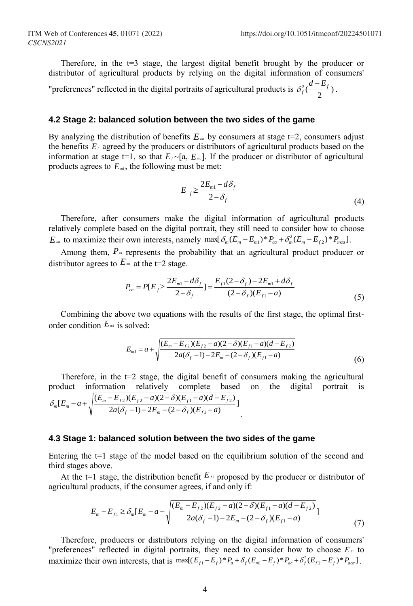Therefore, in the  $t=3$  stage, the largest digital benefit brought by the producer or distributor of agricultural products by relying on the digital information of consumers' "preferences" reflected in the digital portraits of agricultural products is  $\delta_f^2(\frac{a - L_f}{2})$  $\delta_f^2(\frac{d-E_f}{2})$ .

**4.2 Stage 2: balanced solution between the two sides of the game**

By analyzing the distribution of benefits  $E_{m1}$  by consumers at stage  $t=2$ , consumers adjust the benefits  $E_f$  agreed by the producers or distributors of agricultural products based on the information at stage  $t=1$ , so that  $E_f \sim [a, E_m]$ . If the producer or distributor of agricultural products agrees to  $E_{m}$ , the following must be met:

$$
E_{f} \ge \frac{2E_{m1} - d\delta_{f}}{2 - \delta_{f}}
$$
\n<sup>(4)</sup>

Therefore, after consumers make the digital information of agricultural products relatively complete based on the digital portrait, they still need to consider how to choose *E*<sup>m1</sup> to maximize their own interests, namely max $\{\delta_m(E_m - E_{m1})^* P_{ca} + \delta_m^2(E_m - E_{f2})^* P_{mca}\}.$ 

Among them,  $P_{\alpha}$  represents the probability that an agricultural product producer or distributor agrees to  $E_{m1}$  at the t=2 stage.

$$
P_{ca} = P[E_f \ge \frac{2E_{m1} - d\delta_f}{2 - \delta_f}] = \frac{E_{f1}(2 - \delta_f) - 2E_{m1} + d\delta_f}{(2 - \delta_f)(E_{f1} - a)}
$$
(5)

Combining the above two equations with the results of the first stage, the optimal firstorder condition  $E_{m1}$  is solved:

$$
E_{m1} = a + \sqrt{\frac{(E_m - E_{f2})(E_{f2} - a)(2 - \delta)(E_{f1} - a)(d - E_{f2})}{2a(\delta_f - 1) - 2E_m - (2 - \delta_f)(E_{f1} - a)}}
$$
(6)

Therefore, in the  $t=2$  stage, the digital benefit of consumers making the agricultural product information relatively complete based on the digital portrait is  $\frac{2a(\delta_f-1)-2E_m-(2-\delta_f)(E_{f1}-a)}{2a(\delta_f-1)-2E_m-(2-\delta_f)(E_{f1}-a)}$  $[E_m - a + \sqrt{\frac{(E_m - E_{f2})(E_{f2} - a)(2 - \delta)(E_{f1} - a)(d - E_{f2})}{2(2 - \delta)(2 - \delta)(E_{f1} - a)(d - E_{f2})}}]$ 1 2/ $E_{f2}$  -  $a$ / $\frac{2 - b}{2}$ / $E_{f1}$  -  $a$ / $\frac{a - b}{2}$  $a(\delta_f - 1) - 2E_m - (2 - \delta_f)(E_{f1} - a)$  $E_m - a + \sqrt{\frac{(E_m - E_{f2})(E_{f2} - a)(2 - \delta)(E_{f1} - a)(d - E_{f2})}{2\delta}}$  $f_f$  –1) – 2 $E_m$  – (2 –  $\sigma_f$  )( $E_f$  $\sum_{m}^{\infty} [E_m - a + \sqrt{\frac{(E_m - E_{f2})(E_{f2} - a)(2 - \delta)(E_{f1} - a)(a - E_{f2})}{2a(\delta_f - 1) - 2E_m - (2 - \delta_f)(E_{f1} - a)}}$  $-a+\sqrt{\frac{(E_m-E_{f2})(E_{f2}-a)(2-\delta)(E_{f1}-a)(d-2)}{2a(\delta_{f2}-1)-2E_{f2}-(2-\delta_{f2})(E_{f2}-a)}}$  $\delta$   $[E_{-} - a_{+}]$  $\frac{(E_{m} - E_{f2})(E_{f2} - a)(2 - \delta)}{2}$ .

#### **4.3 Stage 1: balanced solution between the two sides of the game**

Entering the  $t=1$  stage of the model based on the equilibrium solution of the second and third stages above.

At the t=1 stage, the distribution benefit  $E_{\mu}$  proposed by the producer or distributor of agricultural products, if the consumer agrees, if and only if:

$$
E_m - E_{f1} \ge \delta_m [E_m - a - \sqrt{\frac{(E_m - E_{f2})(E_{f2} - a)(2 - \delta)(E_{f1} - a)(d - E_{f2})}{2a(\delta_f - 1) - 2E_m - (2 - \delta_f)(E_{f1} - a)}}]
$$
(7)

Therefore, producers or distributors relying on the digital information of consumers' "preferences" reflected in digital portraits, they need to consider how to choose  $E_A$  to preferences reflected in digital portraits, they need to consider now to choose  $E_f$  to maximize their own interests, that is  $max[(E_{f1}-E_f)^*P_a+\delta_f(E_{m1}-E_f)^*P_{ac}+\delta_f^2(E_{f2}-E_f)^*P_{acm}]$ .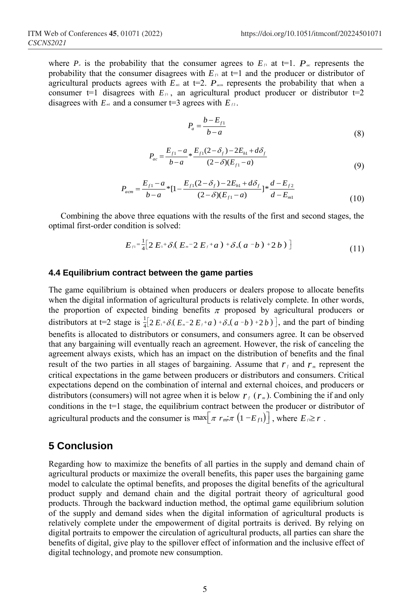where  $P_a$  is the probability that the consumer agrees to  $E_a$  at  $t=1$ .  $P_a$  represents the probability that the consumer disagrees with  $E_{\mu}$  at t=1 and the producer or distributor of agricultural products agrees with  $E_m$  at t=2.  $P_{\text{arm}}$  represents the probability that when a consumer  $t=1$  disagrees with  $E_{\mu}$ , an agricultural product producer or distributor  $t=2$ disagrees with  $E_m$  and a consumer t=3 agrees with  $E_{\mu_2}$ .

$$
P_a = \frac{b - E_{f1}}{b - a} \tag{8}
$$

$$
P_{ac} = \frac{E_{f1} - a}{b - a} * \frac{E_{f1}(2 - \delta_f) - 2E_{h1} + d\delta_f}{(2 - \delta)(E_{f1} - a)}
$$
(9)

$$
P_{acm} = \frac{E_{f1} - a}{b - a} * [1 - \frac{E_{f1}(2 - \delta_f) - 2E_{h1} + d\delta_f}{(2 - \delta)(E_{f1} - a)}] * \frac{d - E_{f2}}{d - E_{m1}}
$$
(10)

Combining the above three equations with the results of the first and second stages, the imal first-order condition is solved:<br>  $E_{\beta} = \frac{1}{4} [2 E_{\beta} + \delta (E_{\alpha} - 2 E_{\beta} + a) + \delta_{\alpha} (a - b) + 2 b]$  (11) optimal first-order condition is solved:

addition is solved:  
\n
$$
E_{\mu} = \frac{1}{4} [2 E_{\mu} + \delta_{\mu} (E_{\mu} - 2 E_{\mu} + a) + \delta_{\mu} (a - b) + 2 b)]
$$
\n(11)

#### **4.4 Equilibrium contract between the game parties**

The game equilibrium is obtained when producers or dealers propose to allocate benefits when the digital information of agricultural products is relatively complete. In other words, the proportion of expected binding benefits  $\pi$  proposed by agricultural producers or distributors at t=2 stage is  $\frac{1}{4} \left[ 2 E_1 + \delta_1 0 \right]$ in of agricultural products is relatively complete. In other words,<br>d binding benefits  $\pi$  proposed by agricultural producers or<br> $\frac{1}{4} [2 E_1 + \delta (E_n - 2 E_f + a) + \delta (a - b) + 2 b)]$ , and the part of binding benefits is allocated to distributors or consumers, and consumers agree. It can be observed that any bargaining will eventually reach an agreement. However, the risk of canceling the agreement always exists, which has an impact on the distribution of benefits and the final result of the two parties in all stages of bargaining. Assume that  $r_f$  and  $r_m$  represent the critical expectations in the game between producers or distributors and consumers. Critical expectations depend on the combination of internal and external choices, and producers or distributors (consumers) will not agree when it is below  $r_f(r_m)$ . Combining the if and only conditions in the t=1 stage, the equilibrium contract between the producer or distributor of conditions in the t=1 stage, the equilibrium contract between the producer or di<br>agricultural products and the consumer is  $\max[\pi r_m \pi (1 - E_f)]$ , where  $E_f \ge r$ .

### **5 Conclusion**

Regarding how to maximize the benefits of all parties in the supply and demand chain of agricultural products or maximize the overall benefits, this paper uses the bargaining game model to calculate the optimal benefits, and proposes the digital benefits of the agricultural product supply and demand chain and the digital portrait theory of agricultural good products. Through the backward induction method, the optimal game equilibrium solution of the supply and demand sides when the digital information of agricultural products is relatively complete under the empowerment of digital portraits is derived. By relying on digital portraits to empower the circulation of agricultural products, all parties can share the benefits of digital, give play to the spillover effect of information and the inclusive effect of digital technology, and promote new consumption.